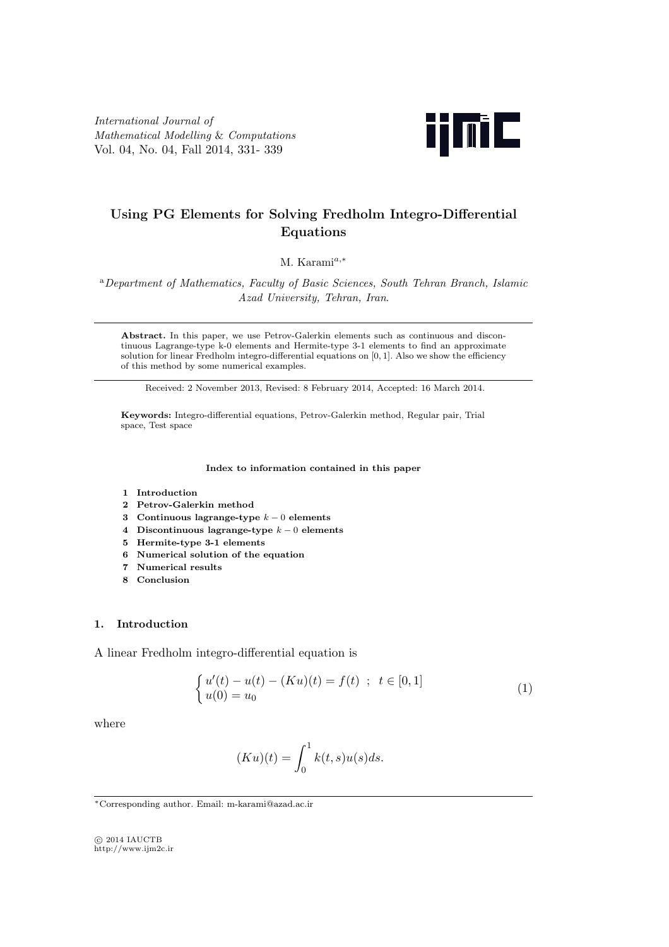*International Journal of Mathematical Modelling* & *Computations* Vol. 04, No. 04, Fall 2014, 331- 339



# **Using PG Elements for Solving Fredholm Integro-Differential Equations**

M. Karami*a,<sup>∗</sup>*

<sup>a</sup>*Department of Mathematics, Faculty of Basic Sciences, South Tehran Branch, Islamic Azad University, Tehran, Iran*.

**Abstract.** In this paper, we use Petrov-Galerkin elements such as continuous and discontinuous Lagrange-type k-0 elements and Hermite-type 3-1 elements to find an approximate solution for linear Fredholm integro-differential equations on [0*,* 1]. Also we show the efficiency of this method by some numerical examples.

Received: 2 November 2013, Revised: 8 February 2014, Accepted: 16 March 2014.

**Keywords:** Integro-differential equations, Petrov-Galerkin method, Regular pair, Trial space, Test space

**Index to information contained in this paper**

- **1 Introduction**
- **2 Petrov-Galerkin method**
- **3 Continuous lagrange-type** *k −* 0 **elements**
- **4 Discontinuous lagrange-type** *k −* 0 **elements**
- **5 Hermite-type 3-1 elements**
- **6 Numerical solution of the equation**
- **7 Numerical results**
- **8 Conclusion**

### **1. Introduction**

A linear Fredholm integro-differential equation is

$$
\begin{cases}\n u'(t) - u(t) - (Ku)(t) = f(t) ; t \in [0,1] \\
 u(0) = u_0\n\end{cases}
$$
\n(1)

where

$$
(Ku)(t) = \int_0^1 k(t,s)u(s)ds.
$$

*⃝*c 2014 IAUCTB http://www.ijm2c.ir

*<sup>∗</sup>*Corresponding author. Email: m-karami@azad.ac.ir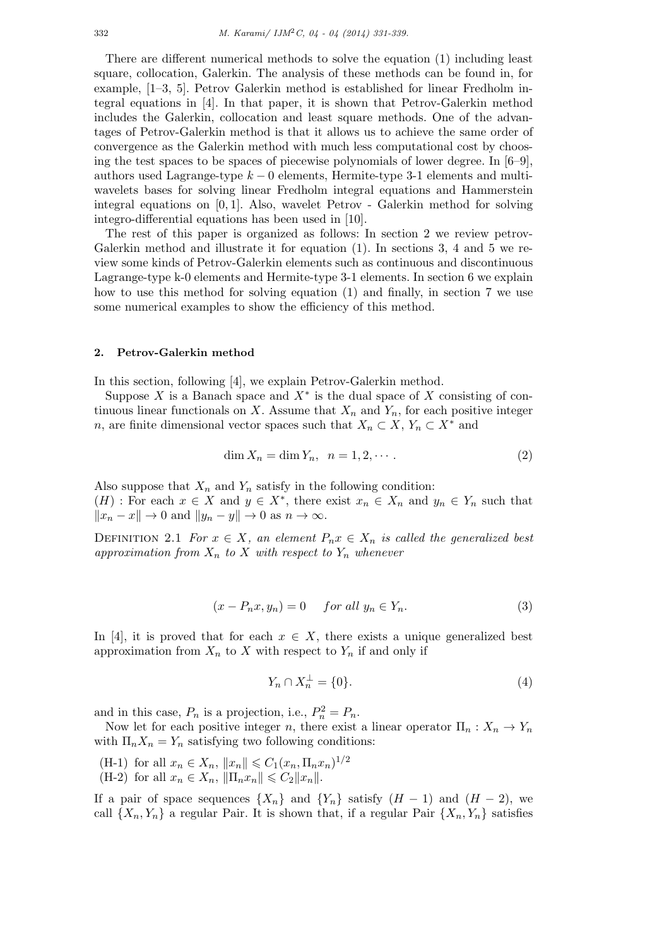There are different numerical methods to solve the equation (1) including least square, collocation, Galerkin. The analysis of these methods can be found in, for example, [1–3, 5]. Petrov Galerkin method is established for linear Fredholm integral equations in [4]. In that paper, it is shown that Petrov-Galerkin method includes the Galerkin, collocation and least square methods. One of the advantages of Petrov-Galerkin method is that it allows us to achieve the same order of convergence as the Galerkin method with much less computational cost by choosing the test spaces to be spaces of piecewise polynomials of lower degree. In  $[6-9]$ , authors used Lagrange-type *k −* 0 elements, Hermite-type 3-1 elements and multiwavelets bases for solving linear Fredholm integral equations and Hammerstein integral equations on [0*,* 1]. Also, wavelet Petrov - Galerkin method for solving integro-differential equations has been used in [10].

The rest of this paper is organized as follows: In section 2 we review petrov-Galerkin method and illustrate it for equation (1). In sections 3, 4 and 5 we review some kinds of Petrov-Galerkin elements such as continuous and discontinuous Lagrange-type k-0 elements and Hermite-type 3-1 elements. In section 6 we explain how to use this method for solving equation (1) and finally, in section 7 we use some numerical examples to show the efficiency of this method.

## **2. Petrov-Galerkin method**

In this section, following [4], we explain Petrov-Galerkin method.

Suppose  $X$  is a Banach space and  $X^*$  is the dual space of  $X$  consisting of continuous linear functionals on *X*. Assume that  $X_n$  and  $Y_n$ , for each positive integer *n*, are finite dimensional vector spaces such that  $X_n \subset X$ ,  $Y_n \subset X^*$  and

$$
\dim X_n = \dim Y_n, \quad n = 1, 2, \cdots. \tag{2}
$$

Also suppose that  $X_n$  and  $Y_n$  satisfy in the following condition:  $(H)$ : For each  $x \in X$  and  $y \in X^*$ , there exist  $x_n \in X_n$  and  $y_n \in Y_n$  such that  $||x_n - x|| \to 0$  and  $||y_n - y|| \to 0$  as  $n \to \infty$ .

DEFINITION 2.1 *For*  $x \in X$ *, an element*  $P_n x \in X_n$  *is called the generalized best* approximation from  $X_n$  to  $X$  with respect to  $Y_n$  whenever

$$
(x - P_n x, y_n) = 0 \quad \text{for all } y_n \in Y_n. \tag{3}
$$

In [4], it is proved that for each  $x \in X$ , there exists a unique generalized best approximation from  $X_n$  to  $X$  with respect to  $Y_n$  if and only if

$$
Y_n \cap X_n^{\perp} = \{0\}.\tag{4}
$$

and in this case,  $P_n$  is a projection, i.e.,  $P_n^2 = P_n$ .

Now let for each positive integer *n*, there exist a linear operator  $\Pi_n: X_n \to Y_n$ with  $\Pi_n X_n = Y_n$  satisfying two following conditions:

 $(H-1)$  for all  $x_n \in X_n$ ,  $||x_n|| \leq C_1(x_n, \Pi_n x_n)^{1/2}$  $(H-2)$  for all  $x_n \in X_n$ ,  $||\prod_n x_n|| \leq C_2 ||x_n||$ .

If a pair of space sequences  $\{X_n\}$  and  $\{Y_n\}$  satisfy  $(H-1)$  and  $(H-2)$ , we call  $\{X_n, Y_n\}$  a regular Pair. It is shown that, if a regular Pair  $\{X_n, Y_n\}$  satisfies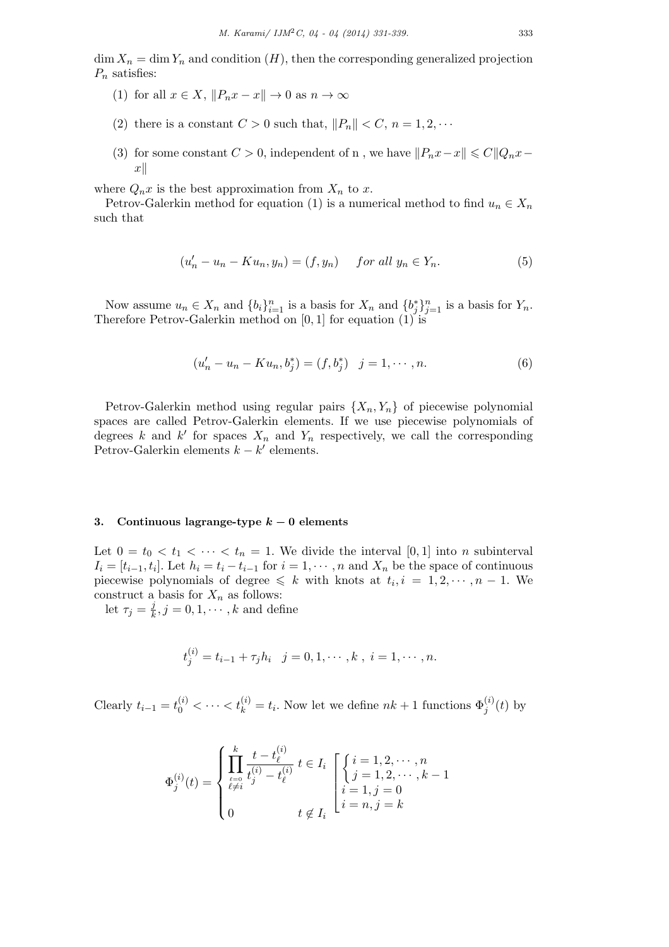$\dim X_n = \dim Y_n$  and condition  $(H)$ , then the corresponding generalized projection *P<sup>n</sup>* satisfies:

- (1) for all  $x \in X$ ,  $||P_n x x|| \to 0$  as  $n \to \infty$
- (2) there is a constant  $C > 0$  such that,  $||P_n|| < C$ ,  $n = 1, 2, \cdots$
- (3) for some constant  $C > 0$ , independent of n, we have  $||P_n x x|| \leq C ||Q_n x y||$ *x∥*

where  $Q_n x$  is the best approximation from  $X_n$  to  $x$ .

Petrov-Galerkin method for equation (1) is a numerical method to find  $u_n \in X_n$ such that

$$
(u'_n - u_n - Ku_n, y_n) = (f, y_n) \quad \text{for all } y_n \in Y_n. \tag{5}
$$

Now assume  $u_n \in X_n$  and  $\{b_i\}_{i=1}^n$  is a basis for  $X_n$  and  $\{b_j^*\}_{j=1}^n$  is a basis for  $Y_n$ . Therefore Petrov-Galerkin method on [0*,* 1] for equation (1) is

$$
(u'_n - u_n - Ku_n, b_j^*) = (f, b_j^*) \quad j = 1, \cdots, n. \tag{6}
$$

Petrov-Galerkin method using regular pairs  $\{X_n, Y_n\}$  of piecewise polynomial spaces are called Petrov-Galerkin elements. If we use piecewise polynomials of degrees *k* and *k'* for spaces  $X_n$  and  $Y_n$  respectively, we call the corresponding Petrov-Galerkin elements *k − k ′* elements.

# **3. Continuous lagrange-type** *k −* **0 elements**

Let  $0 = t_0 < t_1 < \cdots < t_n = 1$ . We divide the interval [0, 1] into *n* subinterval  $I_i = [t_{i-1}, t_i]$ . Let  $h_i = t_i - t_{i-1}$  for  $i = 1, \dots, n$  and  $X_n$  be the space of continuous piecewise polynomials of degree  $\leq k$  with knots at  $t_i, i = 1, 2, \dots, n-1$ . We construct a basis for  $X_n$  as follows:

let  $\tau_j = \frac{j}{k}$  $\frac{j}{k}, j = 0, 1, \cdots, k$  and define

$$
t_j^{(i)} = t_{i-1} + \tau_j h_i \quad j = 0, 1, \cdots, k \, , \, i = 1, \cdots, n.
$$

Clearly  $t_{i-1} = t_0^{(i)} < \cdots < t_k^{(i)} = t_i$ . Now let we define  $nk + 1$  functions  $\Phi_j^{(i)}(t)$  by

$$
\Phi_j^{(i)}(t) = \begin{cases}\n\prod_{\substack{\ell=0 \\ \ell \neq i}}^k \frac{t - t_\ell^{(i)}}{t_j^{(i)} - t_\ell^{(i)}} \ t \in I_i \\
\text{where } t \in I_i, j = 0 \\
0 \qquad \qquad t \notin I_i\n\end{cases}\n\begin{cases}\ni = 1, 2, \cdots, n \\
j = 1, 2, \cdots, k - 1 \\
i = n, j = k\n\end{cases}
$$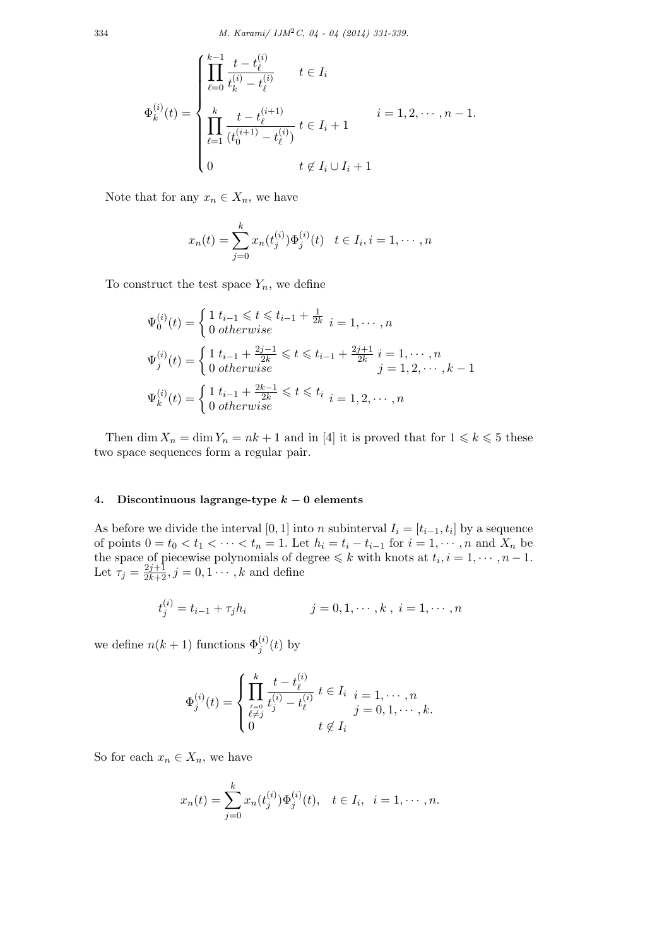$$
\Phi_k^{(i)}(t) = \begin{cases}\n\prod_{\ell=0}^{k-1} \frac{t - t_\ell^{(i)}}{t_k^{(i)} - t_\ell^{(i)}} & t \in I_i \\
\prod_{\ell=1}^k \frac{t - t_\ell^{(i+1)}}{(t_0^{(i+1)} - t_\ell^{(i)})} & t \in I_i + 1 \\
0 & t \notin I_i \cup I_i + 1\n\end{cases} \quad i = 1, 2, \dots, n-1.
$$

Note that for any  $x_n \in X_n$ , we have

$$
x_n(t) = \sum_{j=0}^k x_n(t_j^{(i)}) \Phi_j^{(i)}(t) \quad t \in I_i, i = 1, \cdots, n
$$

To construct the test space  $Y_n$ , we define

$$
\Psi_0^{(i)}(t) = \begin{cases} 1 \ t_{i-1} \leq t \leq t_{i-1} + \frac{1}{2k} \\ 0 \ \text{otherwise} \end{cases} i = 1, \dots, n
$$
\n
$$
\Psi_j^{(i)}(t) = \begin{cases} 1 \ t_{i-1} + \frac{2j-1}{2k} \leq t \leq t_{i-1} + \frac{2j+1}{2k} \\ 0 \ \text{otherwise} \end{cases} i = 1, \dots, n
$$
\n
$$
\Psi_k^{(i)}(t) = \begin{cases} 1 \ t_{i-1} + \frac{2k-1}{2k} \leq t \leq t_i \\ 0 \ \text{otherwise} \end{cases} i = 1, 2, \dots, n
$$

Then dim  $X_n = \dim Y_n = nk + 1$  and in [4] it is proved that for  $1 \leq k \leq 5$  these two space sequences form a regular pair.

# **4. Discontinuous lagrange-type** *k −* **0 elements**

As before we divide the interval  $[0, 1]$  into *n* subinterval  $I_i = [t_{i-1}, t_i]$  by a sequence of points  $0 = t_0 < t_1 < \cdots < t_n = 1$ . Let  $h_i = t_i - t_{i-1}$  for  $i = 1, \dots, n$  and  $X_n$  be the space of piecewise polynomials of degree  $\leq k$  with knots at  $t_i, i = 1, \dots, n-1$ . Let  $\tau_j = \frac{2j+1}{2k+2}, j = 0, 1 \cdots, k$  and define

$$
t_j^{(i)} = t_{i-1} + \tau_j h_i
$$
  $j = 0, 1, \dots, k, i = 1, \dots, n$ 

we define  $n(k+1)$  functions  $\Phi_j^{(i)}(t)$  by

$$
\Phi_j^{(i)}(t) = \begin{cases} \prod_{\substack{\ell=0 \\ \ell \neq j}}^k \frac{t - t_\ell^{(i)}}{t_j^{(i)} - t_\ell^{(i)}} \ t \in I_i & i = 1, \cdots, n \\ 0 & t \notin I_i \end{cases}
$$

So for each  $x_n \in X_n$ , we have

$$
x_n(t) = \sum_{j=0}^k x_n(t_j^{(i)}) \Phi_j^{(i)}(t), \quad t \in I_i, \ \ i = 1, \cdots, n.
$$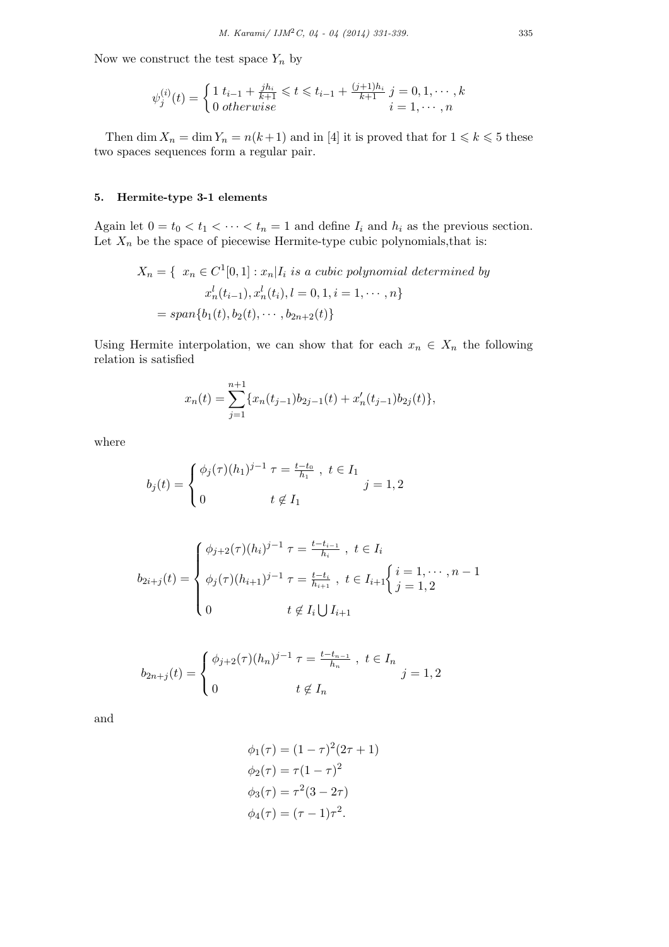Now we construct the test space  $Y_n$  by

$$
\psi_j^{(i)}(t) = \begin{cases} 1 \ t_{i-1} + \frac{jh_i}{k+1} \leq t \leq t_{i-1} + \frac{(j+1)h_i}{k+1} \ j = 0, 1, \cdots, k \\ 0 \ otherwise \qquad i = 1, \cdots, n \end{cases}
$$

Then  $\dim X_n = \dim Y_n = n(k+1)$  and in [4] it is proved that for  $1 \leq k \leq 5$  these two spaces sequences form a regular pair.

# **5. Hermite-type 3-1 elements**

Again let  $0 = t_0 < t_1 < \cdots < t_n = 1$  and define  $I_i$  and  $h_i$  as the previous section. Let  $X_n$  be the space of piecewise Hermite-type cubic polynomials, that is:

$$
X_n = \{ x_n \in C^1[0, 1] : x_n | I_i \text{ is a cubic polynomial determined by}
$$

$$
x_n^l(t_{i-1}), x_n^l(t_i), l = 0, 1, i = 1, \cdots, n \}
$$

$$
= span\{b_1(t), b_2(t), \cdots, b_{2n+2}(t)\}
$$

Using Hermite interpolation, we can show that for each  $x_n \in X_n$  the following relation is satisfied

$$
x_n(t) = \sum_{j=1}^{n+1} \{x_n(t_{j-1})b_{2j-1}(t) + x'_n(t_{j-1})b_{2j}(t)\},\,
$$

where

$$
b_j(t) = \begin{cases} \phi_j(\tau)(h_1)^{j-1} \ \tau = \frac{t - t_0}{h_1} \ , \ t \in I_1 \\ 0 \qquad t \notin I_1 \end{cases} j = 1, 2
$$

$$
b_{2i+j}(t) = \begin{cases} \phi_{j+2}(\tau)(h_i)^{j-1} \ \tau = \frac{t-t_{i-1}}{h_i} \ , \ t \in I_i \\ \phi_j(\tau)(h_{i+1})^{j-1} \ \tau = \frac{t-t_i}{h_{i+1}} \ , \ t \in I_{i+1} \begin{cases} i = 1, \cdots, n-1 \\ j = 1, 2 \end{cases} \\ 0 \qquad \qquad t \notin I_i \bigcup I_{i+1} \end{cases}
$$

$$
b_{2n+j}(t) = \begin{cases} \phi_{j+2}(\tau)(h_n)^{j-1} \ \tau = \frac{t - t_{n-1}}{h_n} \ , \ t \in I_n \\ 0 \qquad t \notin I_n \end{cases} j = 1, 2
$$

and

$$
\phi_1(\tau) = (1 - \tau)^2 (2\tau + 1) \n\phi_2(\tau) = \tau (1 - \tau)^2 \n\phi_3(\tau) = \tau^2 (3 - 2\tau) \n\phi_4(\tau) = (\tau - 1)\tau^2.
$$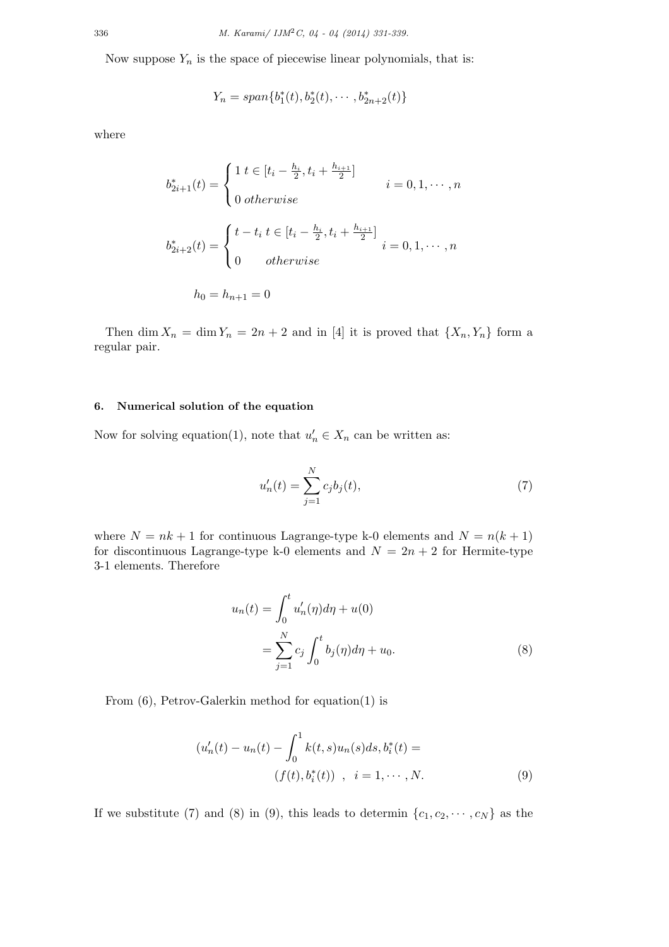Now suppose  $Y_n$  is the space of piecewise linear polynomials, that is:

$$
Y_n = span{b_1^*(t), b_2^*(t), \cdots, b_{2n+2}^*(t)}
$$

where

$$
b_{2i+1}^{*}(t) = \begin{cases} 1 \ t \in [t_i - \frac{h_i}{2}, t_i + \frac{h_{i+1}}{2}] & i = 0, 1, \cdots, n \\ 0 \ otherwise & i = 0, 1, \cdots, n \end{cases}
$$

$$
b_{2i+2}^{*}(t) = \begin{cases} t - t_i \ t \in [t_i - \frac{h_i}{2}, t_i + \frac{h_{i+1}}{2}] & i = 0, 1, \cdots, n \\ 0 & otherwise \end{cases}
$$

$$
h_0 = h_{n+1} = 0
$$

Then dim  $X_n = \dim Y_n = 2n + 2$  and in [4] it is proved that  $\{X_n, Y_n\}$  form a regular pair.

## **6. Numerical solution of the equation**

Now for solving equation(1), note that  $u'_n \in X_n$  can be written as:

$$
u'_n(t) = \sum_{j=1}^{N} c_j b_j(t),
$$
\n(7)

where  $N = nk + 1$  for continuous Lagrange-type k-0 elements and  $N = n(k + 1)$ for discontinuous Lagrange-type k-0 elements and  $N = 2n + 2$  for Hermite-type 3-1 elements. Therefore

$$
u_n(t) = \int_0^t u'_n(\eta) d\eta + u(0)
$$
  
= 
$$
\sum_{j=1}^N c_j \int_0^t b_j(\eta) d\eta + u_0.
$$
 (8)

From (6), Petrov-Galerkin method for equation(1) is

$$
(u'_n(t) - u_n(t) - \int_0^1 k(t,s)u_n(s)ds, b_i^*(t) =
$$
  
(f(t), b\_i^\*(t)) , i = 1, ..., N. (9)

If we substitute (7) and (8) in (9), this leads to determin  $\{c_1, c_2, \cdots, c_N\}$  as the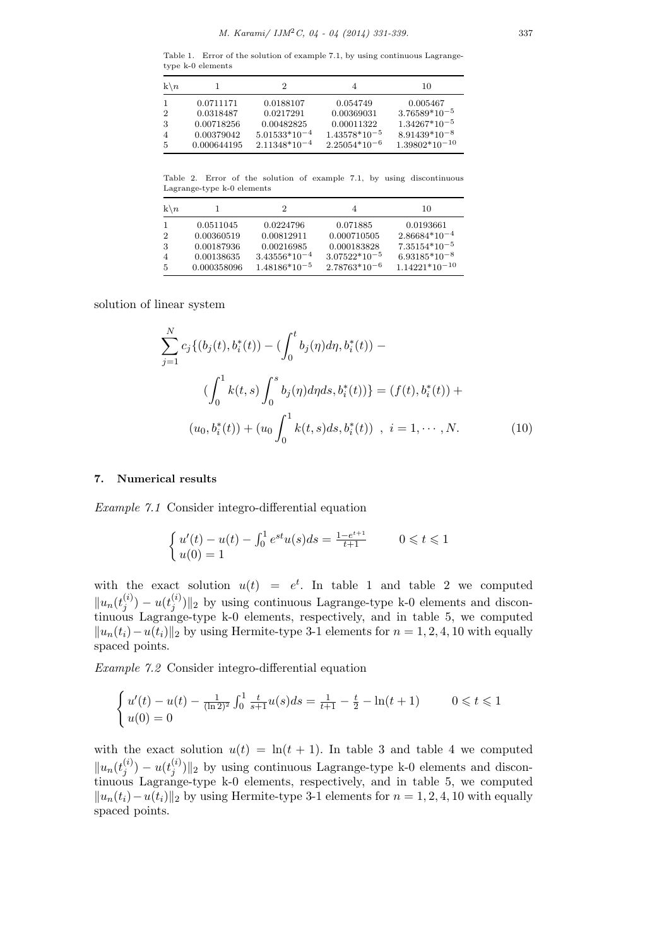Table 1. Error of the solution of example 7.1, by using continuous Lagrangetype k-0 elements

| $k \backslash n$ |             | 2                 |                   | 10                 |
|------------------|-------------|-------------------|-------------------|--------------------|
|                  | 0.0711171   | 0.0188107         | 0.054749          | 0.005467           |
| 2                | 0.0318487   | 0.0217291         | 0.00369031        | $3.76589*10^{-5}$  |
| 3                | 0.00718256  | 0.00482825        | 0.00011322        | $1.34267*10^{-5}$  |
|                  | 0.00379042  | $5.01533*10^{-4}$ | $1.43578*10^{-5}$ | $8.91439*10^{-8}$  |
| 5                | 0.000644195 | $2.11348*10^{-4}$ | $2.25054*10^{-6}$ | $1.39802*10^{-10}$ |

Table 2. Error of the solution of example 7.1, by using discontinuous Lagrange-type k-0 elements

| $k \backslash n$                            |                                                                    | 2                                                                               |                                                                                  | 10                                                                                          |
|---------------------------------------------|--------------------------------------------------------------------|---------------------------------------------------------------------------------|----------------------------------------------------------------------------------|---------------------------------------------------------------------------------------------|
| $\overline{2}$<br>-3<br>$\overline{4}$<br>5 | 0.0511045<br>0.00360519<br>0.00187936<br>0.00138635<br>0.000358096 | 0.0224796<br>0.00812911<br>0.00216985<br>$3.43556*10^{-4}$<br>$1.48186*10^{-5}$ | 0.071885<br>0.000710505<br>0.000183828<br>$3.07522*10^{-5}$<br>$2.78763*10^{-6}$ | 0.0193661<br>$2.86684*10^{-4}$<br>$7.35154*10^{-5}$<br>$6.93185*10^{-8}$<br>$1.14221*10-10$ |

solution of linear system

$$
\sum_{j=1}^{N} c_j \{ (b_j(t), b_i^*(t)) - (\int_0^t b_j(\eta) d\eta, b_i^*(t)) -
$$
  

$$
(\int_0^1 k(t, s) \int_0^s b_j(\eta) d\eta ds, b_i^*(t)) \} = (f(t), b_i^*(t)) +
$$
  

$$
(u_0, b_i^*(t)) + (u_0 \int_0^1 k(t, s) ds, b_i^*(t)) , i = 1, \dots, N.
$$
 (10)

### **7. Numerical results**

*Example 7.1* Consider integro-differential equation

$$
\begin{cases}\n u'(t) - u(t) - \int_0^1 e^{st} u(s) ds = \frac{1 - e^{t+1}}{t+1} & 0 \leq t \leq 1 \\
 u(0) = 1 & \end{cases}
$$

with the exact solution  $u(t) = e^t$ . In table 1 and table 2 we computed  $\|u_n(t_i^{(i)})\|$  $y^{(i)}_j) - u(t^{(i)}_j)$  $\left\{ \begin{bmatrix} u \\ j \end{bmatrix} \right\}$  by using continuous Lagrange-type k-0 elements and discontinuous Lagrange-type k-0 elements, respectively, and in table 5, we computed  $||u_n(t_i) - u(t_i)||_2$  by using Hermite-type 3-1 elements for  $n = 1, 2, 4, 10$  with equally spaced points.

*Example 7.2* Consider integro-differential equation

$$
\begin{cases} u'(t) - u(t) - \frac{1}{(\ln 2)^2} \int_0^1 \frac{t}{s+1} u(s) ds = \frac{1}{t+1} - \frac{t}{2} - \ln(t+1) & 0 \leq t \leq 1\\ u(0) = 0 & \end{cases}
$$

with the exact solution  $u(t) = \ln(t + 1)$ . In table 3 and table 4 we computed  $\|u_n(t_i^{(i)})\|$  $y^{(i)}_j) - u(t^{(i)}_j)$  $\left| \frac{f^{(t)}}{j} \right|$  by using continuous Lagrange-type k-0 elements and discontinuous Lagrange-type k-0 elements, respectively, and in table 5, we computed  $||u_n(t_i) - u(t_i)||_2$  by using Hermite-type 3-1 elements for  $n = 1, 2, 4, 10$  with equally spaced points.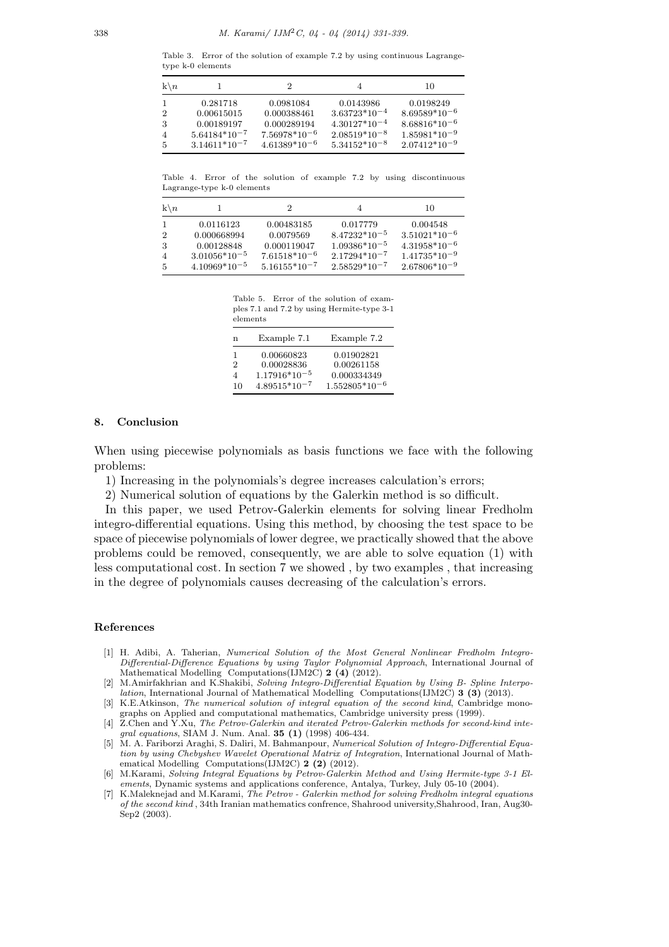Table 3. Error of the solution of example 7.2 by using continuous Lagrangetype k-0 elements

| $k \backslash n$ |                   | '2                |                   | 10                |
|------------------|-------------------|-------------------|-------------------|-------------------|
|                  | 0.281718          | 0.0981084         | 0.0143986         | 0.0198249         |
| $\overline{2}$   | 0.00615015        | 0.000388461       | $3.63723*10^{-4}$ | $8.69589*10^{-6}$ |
| 3                | 0.00189197        | 0.000289194       | $4.30127*10^{-4}$ | $8.68816*10^{-6}$ |
| $\overline{4}$   | $5.64184*10^{-7}$ | $7.56978*10^{-6}$ | $2.08519*10^{-8}$ | $1.85981*10^{-9}$ |
| 5                | $3.14611*10^{-7}$ | $4.61389*10^{-6}$ | $5.34152*10^{-8}$ | $2.07412*10^{-9}$ |

Table 4. Error of the solution of example 7.2 by using discontinuous Lagrange-type k-0 elements

| $k \backslash n$ |                   |                   |                   | 10                |
|------------------|-------------------|-------------------|-------------------|-------------------|
| $\mathbf{1}$     | 0.0116123         | 0.00483185        | 0.017779          | 0.004548          |
| $\overline{2}$   | 0.000668994       | 0.0079569         | $8.47232*10^{-5}$ | $3.51021*10^{-6}$ |
| 3                | 0.00128848        | 0.000119047       | $1.09386*10^{-5}$ | $4.31958*10^{-6}$ |
| $\overline{4}$   | $3.01056*10^{-5}$ | $7.61518*10^{-6}$ | $2.17294*10^{-7}$ | $1.41735*10^{-9}$ |
| 5                | $4.10969*10^{-5}$ | $5.16155*10^{-7}$ | $2.58529*10^{-7}$ | $2.67806*10^{-9}$ |

Table 5. Error of the solution of examples 7.1 and 7.2 by using Hermite-type 3-1 elements

| n  | Example 7.1       | Example 7.2        |
|----|-------------------|--------------------|
| 1  | 0.00660823        | 0.01902821         |
| 2  | 0.00028836        | 0.00261158         |
| 4  | $1.17916*10^{-5}$ | 0.000334349        |
| 10 | $4.89515*10^{-7}$ | $1.552805*10^{-6}$ |

#### **8. Conclusion**

When using piecewise polynomials as basis functions we face with the following problems:

- 1) Increasing in the polynomials's degree increases calculation's errors;
- 2) Numerical solution of equations by the Galerkin method is so difficult.

In this paper, we used Petrov-Galerkin elements for solving linear Fredholm integro-differential equations. Using this method, by choosing the test space to be space of piecewise polynomials of lower degree, we practically showed that the above problems could be removed, consequently, we are able to solve equation (1) with less computational cost. In section 7 we showed , by two examples , that increasing in the degree of polynomials causes decreasing of the calculation's errors.

#### **References**

- [1] H. Adibi, A. Taherian, *Numerical Solution of the Most General Nonlinear Fredholm Integro-Differential-Difference Equations by using Taylor Polynomial Approach*, International Journal of Mathematical Modelling Computations(IJM2C) **2 (4)** (2012).
- [2] M.Amirfakhrian and K.Shakibi, *Solving Integro-Differential Equation by Using B- Spline Interpolation*, International Journal of Mathematical Modelling Computations(IJM2C) **3 (3)** (2013).
- [3] K.E.Atkinson, *The numerical solution of integral equation of the second kind*, Cambridge monographs on Applied and computational mathematics, Cambridge university press (1999).
- [4] Z.Chen and Y.Xu, *The Petrov-Galerkin and iterated Petrov-Galerkin methods for second-kind integral equations*, SIAM J. Num. Anal. **35 (1)** (1998) 406-434.
- [5] M. A. Fariborzi Araghi, S. Daliri, M. Bahmanpour, *Numerical Solution of Integro-Differential Equation by using Chebyshev Wavelet Operational Matrix of Integration*, International Journal of Mathematical Modelling Computations(IJM2C) **2 (2)** (2012).
- [6] M.Karami, *Solving Integral Equations by Petrov-Galerkin Method and Using Hermite-type 3-1 Elements*, Dynamic systems and applications conference, Antalya, Turkey, July 05-10 (2004).
- [7] K.Maleknejad and M.Karami, *The Petrov Galerkin method for solving Fredholm integral equations of the second kind* , 34th Iranian mathematics confrence, Shahrood university,Shahrood, Iran, Aug30- Sep2 (2003).